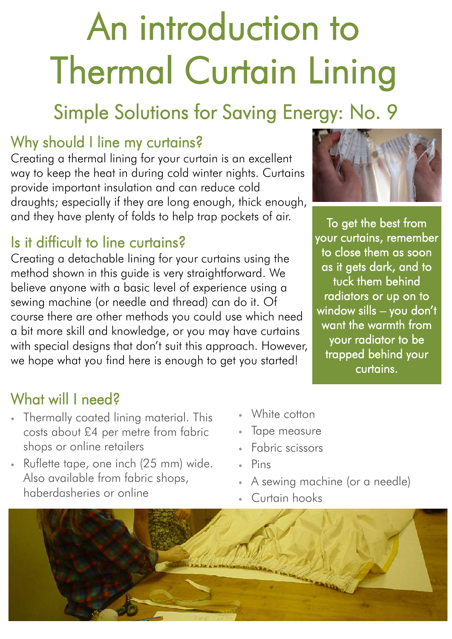# An introduction to Thermal Curtain Lining

# Simple Solutions for Saving Energy: No. 9

### Why should I line my curtains?

Creating a thermal lining for your curtain is an excellent way to keep the heat in during cold winter nights. Curtains provide important insulation and can reduce cold draughts; especially if they are long enough, thick enough, and they have plenty of folds to help trap pockets of air.

#### Is it difficult to line curtains?

Creating a detachable lining for your curtains using the method shown in this guide is very straightforward. We believe anyone with a basic level of experience using a sewing machine (or needle and thread) can do it. Of course there are other methods you could use which need a bit more skill and knowledge, or you may have curtains with special designs that don't suit this approach. However, we hope what you find here is enough to get you started!

To get the best from your curtains, remember to close them as soon as it gets dark, and to tuck them behind radiators or up on to window sills – you don't want the warmth from your radiator to be trapped behind your curtains.

### What will I need?

- Thermally coated lining material. This costs about £4 per metre from fabric shops or online retailers
- Ruflette tape, one inch (25 mm) wide. Also available from fabric shops, haberdasheries or online
- White cotton
- Tape measure
- Fabric scissors
- Pins
- A sewing machine (or a needle)
- Curtain hooks

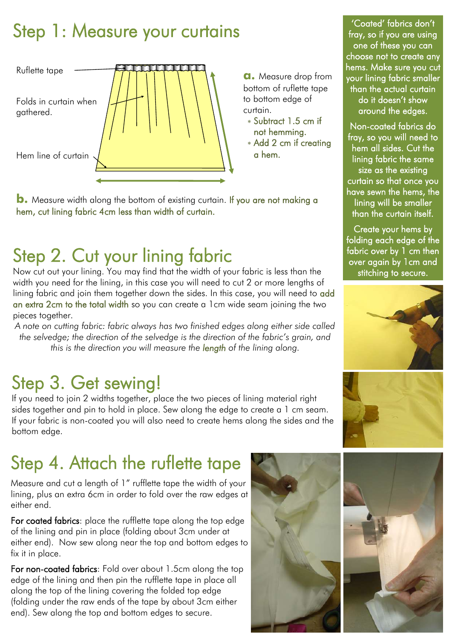# Step 1: Measure your curtains



**a.** Measure drop from bottom of ruflette tape to bottom edge of curtain.

- Subtract 1.5 cm if not hemming.
- Add 2 cm if creating a hem.

**b.** Measure width along the bottom of existing curtain. If you are not making a hem, cut lining fabric 4cm less than width of curtain.

# Step 2. Cut your lining fabric

Now cut out your lining. You may find that the width of your fabric is less than the width you need for the lining, in this case you will need to cut 2 or more lengths of lining fabric and join them together down the sides. In this case, you will need to add an extra 2cm to the total width so you can create a 1cm wide seam joining the two pieces together.

*A note on cutting fabric: fabric always has two finished edges along either side called the selvedge; the direction of the selvedge is the direction of the fabric's grain, and this is the direction you will measure the length of the lining along.* 

## Step 3. Get sewing!

If you need to join 2 widths together, place the two pieces of lining material right sides together and pin to hold in place. Sew along the edge to create a 1 cm seam. If your fabric is non-coated you will also need to create hems along the sides and the bottom edge.

# Step 4. Attach the ruflette tape

Measure and cut a length of 1" rufflette tape the width of your lining, plus an extra 6cm in order to fold over the raw edges at either end.

For coated fabrics: place the rufflette tape along the top edge of the lining and pin in place (folding about 3cm under at either end). Now sew along near the top and bottom edges to fix it in place.

For non-coated fabrics: Fold over about 1.5cm along the top edge of the lining and then pin the rufflette tape in place all along the top of the lining covering the folded top edge (folding under the raw ends of the tape by about 3cm either end). Sew along the top and bottom edges to secure.



'Coated' fabrics don't fray, so if you are using one of these you can choose not to create any hems. Make sure you cut your lining fabric smaller than the actual curtain do it doesn't show around the edges.

Non-coated fabrics do fray, so you will need to hem all sides. Cut the lining fabric the same size as the existing curtain so that once you have sewn the hems, the lining will be smaller than the curtain itself.

Create your hems by folding each edge of the fabric over by 1 cm then over again by 1cm and stitching to secure.